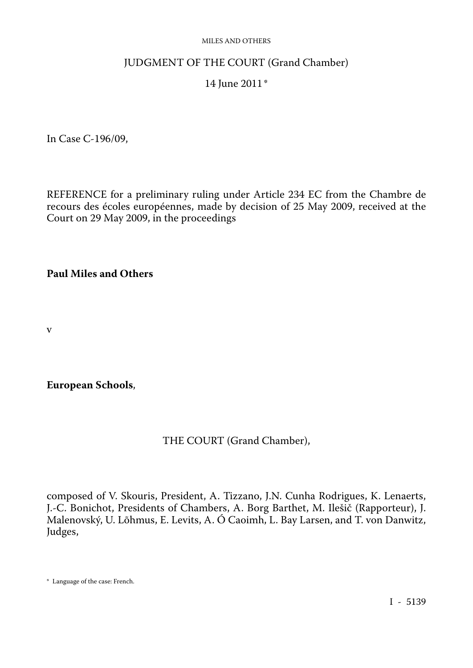#### MILES AND OTHERS

## JUDGMENT OF THE COURT (Grand Chamber)

## 14 June 2011\*

In Case C-196/09,

REFERENCE for a preliminary ruling under Article 234 EC from the Chambre de recours des écoles européennes, made by decision of 25 May 2009, received at the Court on 29 May 2009, in the proceedings

## **Paul Miles and Others**

v

**European Schools**,

### THE COURT (Grand Chamber),

composed of V. Skouris, President, A. Tizzano, J.N. Cunha Rodrigues, K. Lenaerts, J.-C. Bonichot, Presidents of Chambers, A. Borg Barthet, M. Ilešič (Rapporteur), J. Malenovský, U. Lõhmus, E. Levits, A. Ó Caoimh, L. Bay Larsen, and T. von Danwitz, Judges,

<sup>\*</sup> Language of the case: French.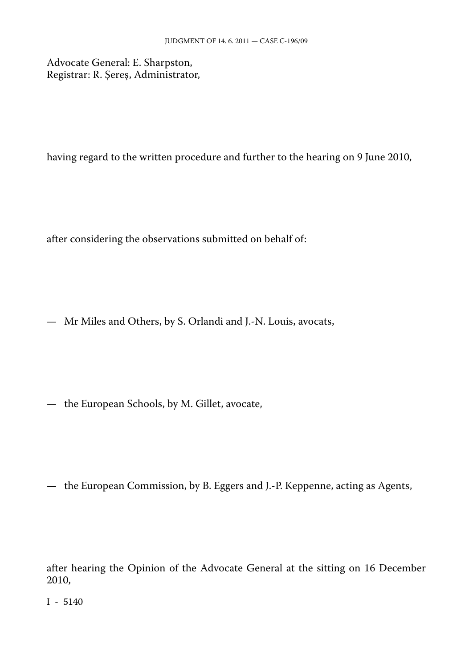Advocate General: E. Sharpston, Registrar: R. Şereş, Administrator,

having regard to the written procedure and further to the hearing on 9 June 2010,

after considering the observations submitted on behalf of:

— Mr Miles and Others, by S. Orlandi and J.-N. Louis, avocats,

— the European Schools, by M. Gillet, avocate,

— the European Commission, by B. Eggers and J.-P. Keppenne, acting as Agents,

after hearing the Opinion of the Advocate General at the sitting on 16 December 2010,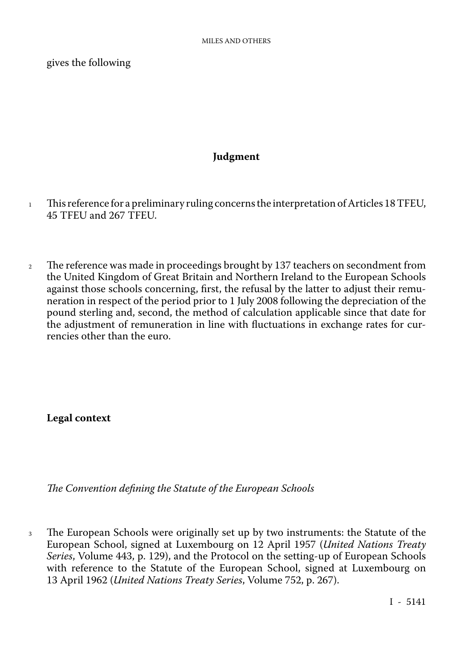gives the following

# **Judgment**

- 1 This reference for a preliminary ruling concerns the interpretation of Articles 18 TFEU, 45 TFEU and 267 TFEU.
- <sup>2</sup> The reference was made in proceedings brought by 137 teachers on secondment from the United Kingdom of Great Britain and Northern Ireland to the European Schools against those schools concerning, first, the refusal by the latter to adjust their remu neration in respect of the period prior to 1 July 2008 following the depreciation of the pound sterling and, second, the method of calculation applicable since that date for the adjustment of remuneration in line with fluctuations in exchange rates for currencies other than the euro.

**Legal context**

*The Convention defining the Statute of the European Schools*

<sup>3</sup> The European Schools were originally set up by two instruments: the Statute of the European School, signed at Luxembourg on 12 April 1957 (*United Nations Treaty Series*, Volume 443, p. 129), and the Protocol on the setting-up of European Schools with reference to the Statute of the European School, signed at Luxembourg on 13 April 1962 (*United Nations Treaty Series*, Volume 752, p. 267).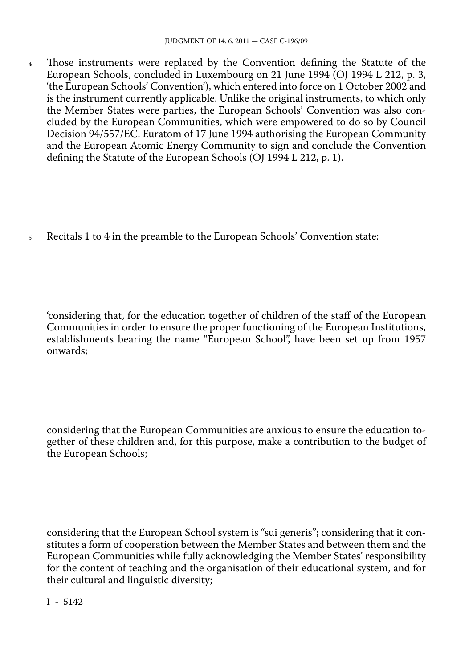<sup>4</sup> Those instruments were replaced by the Convention defining the Statute of the European Schools, concluded in Luxembourg on 21 June 1994 (OJ 1994 L 212, p. 3, 'the European Schools' Convention'), which entered into force on 1 October 2002 and is the instrument currently applicable. Unlike the original instruments, to which only the Member States were parties, the European Schools' Convention was also con cluded by the European Communities, which were empowered to do so by Council Decision 94/557/EC, Euratom of 17 June 1994 authorising the European Community and the European Atomic Energy Community to sign and conclude the Convention defining the Statute of the European Schools (OJ 1994 L 212, p. 1).

<sup>5</sup> Recitals 1 to 4 in the preamble to the European Schools' Convention state:

'considering that, for the education together of children of the staff of the European Communities in order to ensure the proper functioning of the European Institutions, establishments bearing the name "European School", have been set up from 1957 onwards;

considering that the European Communities are anxious to ensure the education to gether of these children and, for this purpose, make a contribution to the budget of the European Schools;

considering that the European School system is "sui generis"; considering that it con stitutes a form of cooperation between the Member States and between them and the European Communities while fully acknowledging the Member States' responsibility for the content of teaching and the organisation of their educational system, and for their cultural and linguistic diversity;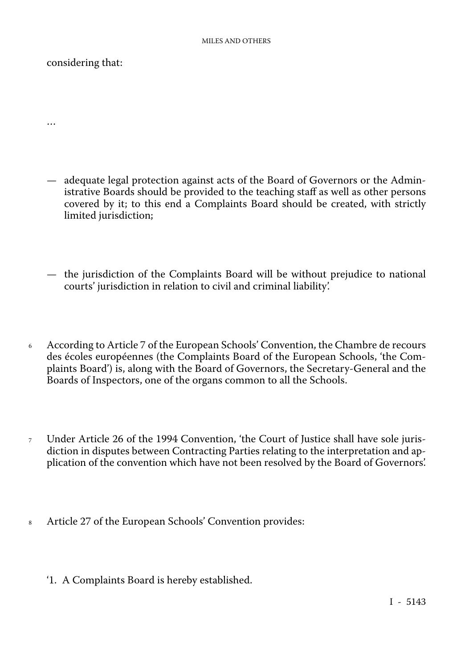## considering that:

…

- adequate legal protection against acts of the Board of Governors or the Admin istrative Boards should be provided to the teaching staff as well as other persons covered by it; to this end a Complaints Board should be created, with strictly limited jurisdiction;
- the jurisdiction of the Complaints Board will be without prejudice to national courts' jurisdiction in relation to civil and criminal liability'.
- <sup>6</sup> According to Article 7 of the European Schools' Convention, the Chambre de recours des écoles européennes (the Complaints Board of the European Schools, 'the Com plaints Board') is, along with the Board of Governors, the Secretary-General and the Boards of Inspectors, one of the organs common to all the Schools.
- <sup>7</sup> Under Article 26 of the 1994 Convention, 'the Court of Justice shall have sole juris diction in disputes between Contracting Parties relating to the interpretation and ap plication of the convention which have not been resolved by the Board of Governors'.
- <sup>8</sup> Article 27 of the European Schools' Convention provides:
	- '1. A Complaints Board is hereby established.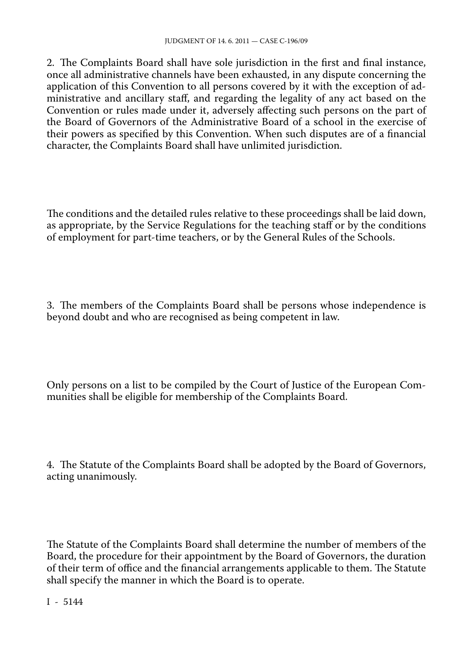2. The Complaints Board shall have sole jurisdiction in the first and final instance, once all administrative channels have been exhausted, in any dispute concerning the application of this Convention to all persons covered by it with the exception of ad ministrative and ancillary staff, and regarding the legality of any act based on the Convention or rules made under it, adversely affecting such persons on the part of the Board of Governors of the Administrative Board of a school in the exercise of their powers as specified by this Convention. When such disputes are of a financial character, the Complaints Board shall have unlimited jurisdiction.

The conditions and the detailed rules relative to these proceedings shall be laid down, as appropriate, by the Service Regulations for the teaching staff or by the conditions of employment for part-time teachers, or by the General Rules of the Schools.

3. The members of the Complaints Board shall be persons whose independence is beyond doubt and who are recognised as being competent in law.

Only persons on a list to be compiled by the Court of Justice of the European Com munities shall be eligible for membership of the Complaints Board.

4. The Statute of the Complaints Board shall be adopted by the Board of Governors, acting unanimously.

The Statute of the Complaints Board shall determine the number of members of the Board, the procedure for their appointment by the Board of Governors, the duration of their term of office and the financial arrangements applicable to them. The Statute shall specify the manner in which the Board is to operate.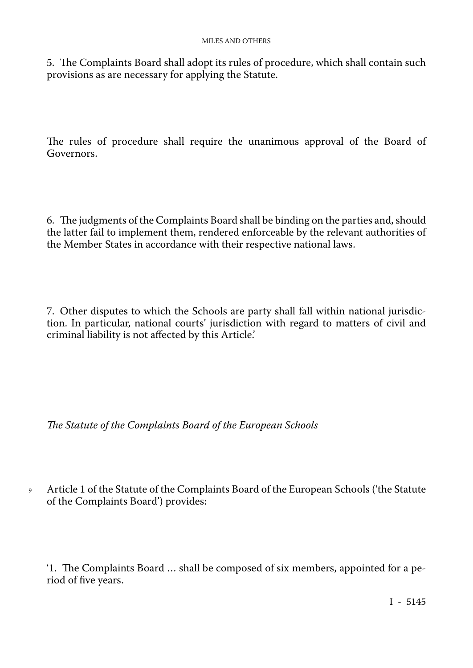5. The Complaints Board shall adopt its rules of procedure, which shall contain such provisions as are necessary for applying the Statute.

The rules of procedure shall require the unanimous approval of the Board of Governors.

6. The judgments of the Complaints Board shall be binding on the parties and, should the latter fail to implement them, rendered enforceable by the relevant authorities of the Member States in accordance with their respective national laws.

7. Other disputes to which the Schools are party shall fall within national jurisdic tion. In particular, national courts' jurisdiction with regard to matters of civil and criminal liability is not affected by this Article.'

*The Statute of the Complaints Board of the European Schools*

<sup>9</sup> Article 1 of the Statute of the Complaints Board of the European Schools ('the Statute of the Complaints Board') provides:

'1. The Complaints Board … shall be composed of six members, appointed for a pe riod of five years.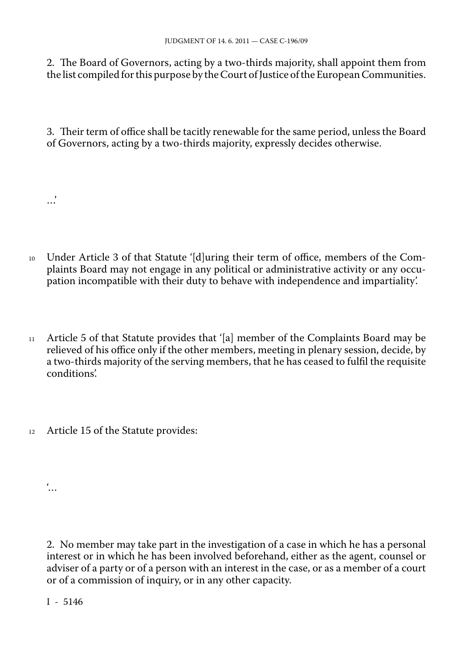2. The Board of Governors, acting by a two-thirds majority, shall appoint them from the list compiled for this purpose by the Court of Justice of the European Communities.

3. Their term of office shall be tacitly renewable for the same period, unless the Board of Governors, acting by a two-thirds majority, expressly decides otherwise.

<sup>10</sup> Under Article 3 of that Statute '[d]uring their term of office, members of the Com plaints Board may not engage in any political or administrative activity or any occu pation incompatible with their duty to behave with independence and impartiality'.

- <sup>11</sup> Article 5 of that Statute provides that '[a] member of the Complaints Board may be relieved of his office only if the other members, meeting in plenary session, decide, by a two-thirds majority of the serving members, that he has ceased to fulfil the requisite conditions'.
- 12 Article 15 of the Statute provides:

 $\ddot{\cdot}$ .

…'

2. No member may take part in the investigation of a case in which he has a personal interest or in which he has been involved beforehand, either as the agent, counsel or adviser of a party or of a person with an interest in the case, or as a member of a court or of a commission of inquiry, or in any other capacity.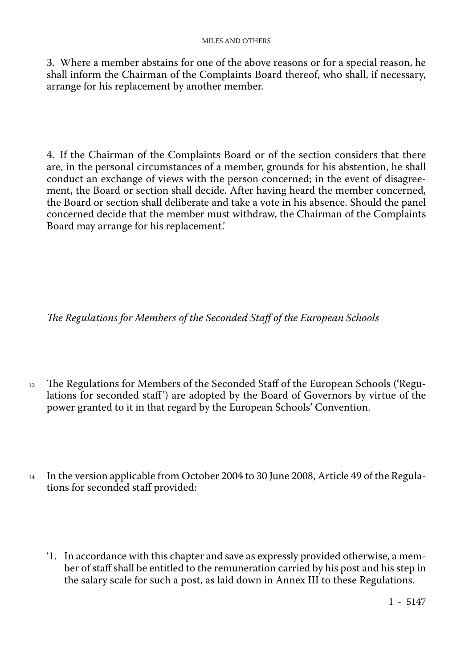3. Where a member abstains for one of the above reasons or for a special reason, he shall inform the Chairman of the Complaints Board thereof, who shall, if necessary, arrange for his replacement by another member.

4. If the Chairman of the Complaints Board or of the section considers that there are, in the personal circumstances of a member, grounds for his abstention, he shall conduct an exchange of views with the person concerned; in the event of disagree ment, the Board or section shall decide. After having heard the member concerned, the Board or section shall deliberate and take a vote in his absence. Should the panel concerned decide that the member must withdraw, the Chairman of the Complaints Board may arrange for his replacement.'

*The Regulations for Members of the Seconded Staff of the European Schools*

- <sup>13</sup> The Regulations for Members of the Seconded Staff of the European Schools ('Regu lations for seconded staff') are adopted by the Board of Governors by virtue of the power granted to it in that regard by the European Schools' Convention.
- <sup>14</sup> In the version applicable from October 2004 to 30 June 2008, Article 49 of the Regulations for seconded staff provided:
	- '1. In accordance with this chapter and save as expressly provided otherwise, a mem ber of staff shall be entitled to the remuneration carried by his post and his step in the salary scale for such a post, as laid down in Annex III to these Regulations.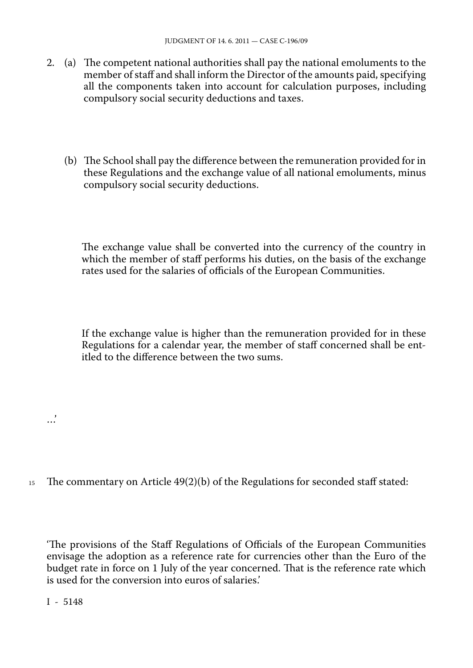- 2. (a) The competent national authorities shall pay the national emoluments to the member of staff and shall inform the Director of the amounts paid, specifying all the components taken into account for calculation purposes, including compulsory social security deductions and taxes.
	- (b) The School shall pay the difference between the remuneration provided for in these Regulations and the exchange value of all national emoluments, minus compulsory social security deductions.

The exchange value shall be converted into the currency of the country in which the member of staff performs his duties, on the basis of the exchange rates used for the salaries of officials of the European Communities.

If the exchange value is higher than the remuneration provided for in these Regulations for a calendar year, the member of staff concerned shall be entitled to the difference between the two sums.

 $15$  The commentary on Article 49(2)(b) of the Regulations for seconded staff stated:

'The provisions of the Staff Regulations of Officials of the European Communities envisage the adoption as a reference rate for currencies other than the Euro of the budget rate in force on 1 July of the year concerned. That is the reference rate which is used for the conversion into euros of salaries.'

I - 5148

…'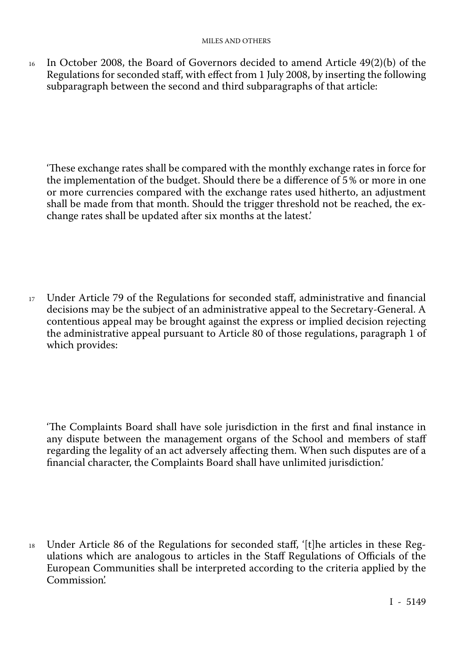$16$  In October 2008, the Board of Governors decided to amend Article 49(2)(b) of the Regulations for seconded staff, with effect from 1 July 2008, by inserting the following subparagraph between the second and third subparagraphs of that article:

'These exchange rates shall be compared with the monthly exchange rates in force for the implementation of the budget. Should there be a difference of 5% or more in one or more currencies compared with the exchange rates used hitherto, an adjustment shall be made from that month. Should the trigger threshold not be reached, the ex change rates shall be updated after six months at the latest.'

<sup>17</sup> Under Article 79 of the Regulations for seconded staff, administrative and financial decisions may be the subject of an administrative appeal to the Secretary-General. A contentious appeal may be brought against the express or implied decision rejecting the administrative appeal pursuant to Article 80 of those regulations, paragraph 1 of which provides:

'The Complaints Board shall have sole jurisdiction in the first and final instance in any dispute between the management organs of the School and members of staff regarding the legality of an act adversely affecting them. When such disputes are of a financial character, the Complaints Board shall have unlimited jurisdiction.'

<sup>18</sup> Under Article 86 of the Regulations for seconded staff, '[t]he articles in these Reg ulations which are analogous to articles in the Staff Regulations of Officials of the European Communities shall be interpreted according to the criteria applied by the Commission'.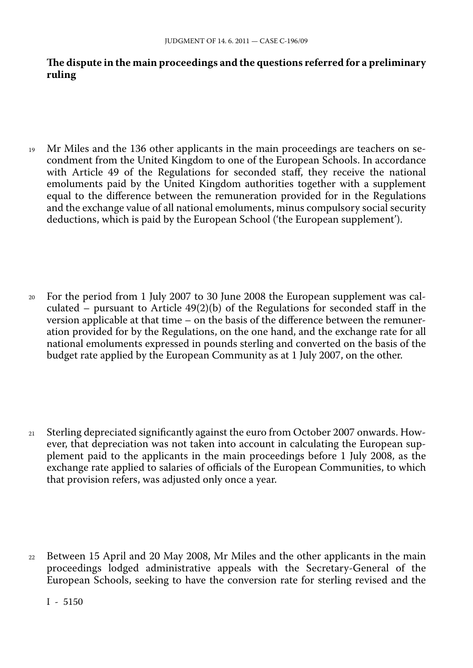## **The dispute in the main proceedings and the questions referred for a preliminary ruling**

- <sup>19</sup> Mr Miles and the 136 other applicants in the main proceedings are teachers on se condment from the United Kingdom to one of the European Schools. In accordance with Article 49 of the Regulations for seconded staff, they receive the national emoluments paid by the United Kingdom authorities together with a supplement equal to the difference between the remuneration provided for in the Regulations and the exchange value of all national emoluments, minus compulsory social security deductions, which is paid by the European School ('the European supplement').
- <sup>20</sup> For the period from 1 July 2007 to 30 June 2008 the European supplement was cal culated – pursuant to Article 49(2)(b) of the Regulations for seconded staff in the version applicable at that time – on the basis of the difference between the remuneration provided for by the Regulations, on the one hand, and the exchange rate for all national emoluments expressed in pounds sterling and converted on the basis of the budget rate applied by the European Community as at 1 July 2007, on the other.
- <sup>21</sup> Sterling depreciated significantly against the euro from October 2007 onwards. How ever, that depreciation was not taken into account in calculating the European sup plement paid to the applicants in the main proceedings before 1 July 2008, as the exchange rate applied to salaries of officials of the European Communities, to which that provision refers, was adjusted only once a year.
- <sup>22</sup> Between 15 April and 20 May 2008, Mr Miles and the other applicants in the main proceedings lodged administrative appeals with the Secretary-General of the European Schools, seeking to have the conversion rate for sterling revised and the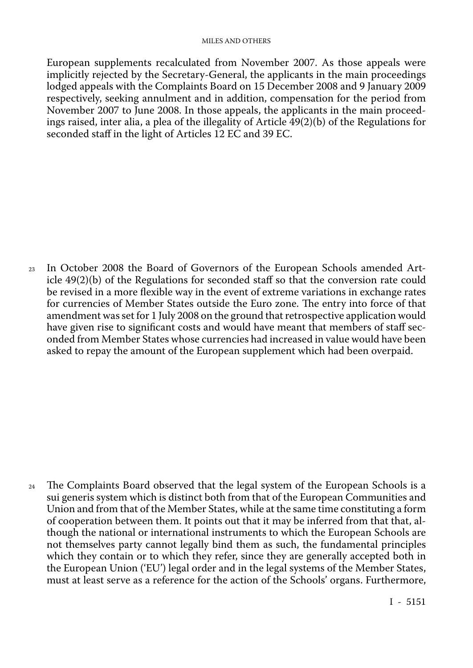#### MILES AND OTHERS

European supplements recalculated from November 2007. As those appeals were implicitly rejected by the Secretary-General, the applicants in the main proceedings lodged appeals with the Complaints Board on 15 December 2008 and 9 January 2009 respectively, seeking annulment and in addition, compensation for the period from November 2007 to June 2008. In those appeals, the applicants in the main proceed ings raised, inter alia, a plea of the illegality of Article 49(2)(b) of the Regulations for seconded staff in the light of Articles 12 EC and 39 EC.

<sup>23</sup> In October 2008 the Board of Governors of the European Schools amended Article 49(2)(b) of the Regulations for seconded staff so that the conversion rate could be revised in a more flexible way in the event of extreme variations in exchange rates for currencies of Member States outside the Euro zone. The entry into force of that amendment was set for 1 July 2008 on the ground that retrospective application would have given rise to significant costs and would have meant that members of staff sec onded from Member States whose currencies had increased in value would have been asked to repay the amount of the European supplement which had been overpaid.

<sup>24</sup> The Complaints Board observed that the legal system of the European Schools is a sui generis system which is distinct both from that of the European Communities and Union and from that of the Member States, while at the same time constituting a form of cooperation between them. It points out that it may be inferred from that that, al though the national or international instruments to which the European Schools are not themselves party cannot legally bind them as such, the fundamental principles which they contain or to which they refer, since they are generally accepted both in the European Union ('EU') legal order and in the legal systems of the Member States, must at least serve as a reference for the action of the Schools' organs. Furthermore,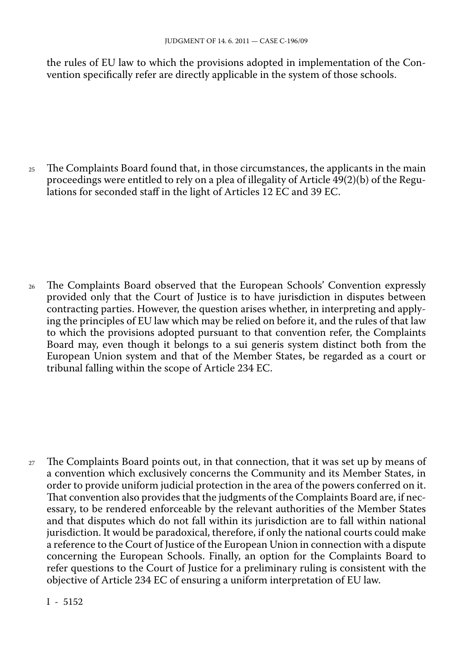the rules of EU law to which the provisions adopted in implementation of the Con vention specifically refer are directly applicable in the system of those schools.

<sup>25</sup> The Complaints Board found that, in those circumstances, the applicants in the main proceedings were entitled to rely on a plea of illegality of Article 49(2)(b) of the Regu lations for seconded staff in the light of Articles 12 EC and 39 EC.

<sup>26</sup> The Complaints Board observed that the European Schools' Convention expressly provided only that the Court of Justice is to have jurisdiction in disputes between contracting parties. However, the question arises whether, in interpreting and apply ing the principles of EU law which may be relied on before it, and the rules of that law to which the provisions adopted pursuant to that convention refer, the Complaints Board may, even though it belongs to a sui generis system distinct both from the European Union system and that of the Member States, be regarded as a court or tribunal falling within the scope of Article 234 EC.

<sup>27</sup> The Complaints Board points out, in that connection, that it was set up by means of a convention which exclusively concerns the Community and its Member States, in order to provide uniform judicial protection in the area of the powers conferred on it. That convention also provides that the judgments of the Complaints Board are, if nec essary, to be rendered enforceable by the relevant authorities of the Member States and that disputes which do not fall within its jurisdiction are to fall within national jurisdiction. It would be paradoxical, therefore, if only the national courts could make a reference to the Court of Justice of the European Union in connection with a dispute concerning the European Schools. Finally, an option for the Complaints Board to refer questions to the Court of Justice for a preliminary ruling is consistent with the objective of Article 234 EC of ensuring a uniform interpretation of EU law.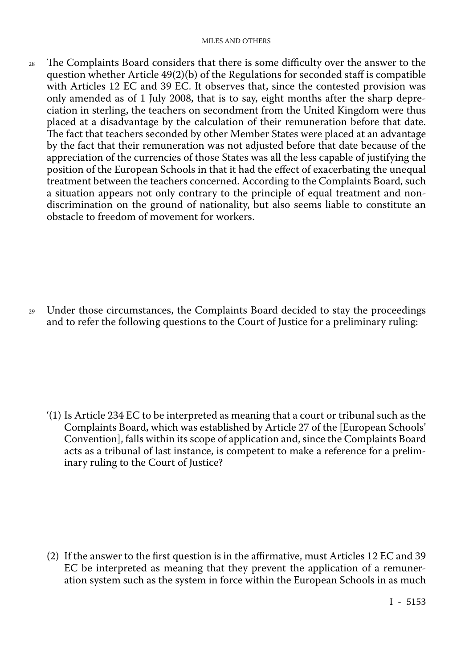<sup>28</sup> The Complaints Board considers that there is some difficulty over the answer to the question whether Article 49(2)(b) of the Regulations for seconded staff is compatible with Articles 12 EC and 39 EC. It observes that, since the contested provision was only amended as of 1 July 2008, that is to say, eight months after the sharp depre ciation in sterling, the teachers on secondment from the United Kingdom were thus placed at a disadvantage by the calculation of their remuneration before that date. The fact that teachers seconded by other Member States were placed at an advantage by the fact that their remuneration was not adjusted before that date because of the appreciation of the currencies of those States was all the less capable of justifying the position of the European Schools in that it had the effect of exacerbating the unequal treatment between the teachers concerned. According to the Complaints Board, such a situation appears not only contrary to the principle of equal treatment and nondiscrimination on the ground of nationality, but also seems liable to constitute an obstacle to freedom of movement for workers.

<sup>29</sup> Under those circumstances, the Complaints Board decided to stay the proceedings and to refer the following questions to the Court of Justice for a preliminary ruling:

'(1) Is Article 234 EC to be interpreted as meaning that a court or tribunal such as the Complaints Board, which was established by Article 27 of the [European Schools' Convention], falls within its scope of application and, since the Complaints Board acts as a tribunal of last instance, is competent to make a reference for a preliminary ruling to the Court of Justice?

(2) If the answer to the first question is in the affirmative, must Articles 12 EC and 39 EC be interpreted as meaning that they prevent the application of a remuneration system such as the system in force within the European Schools in as much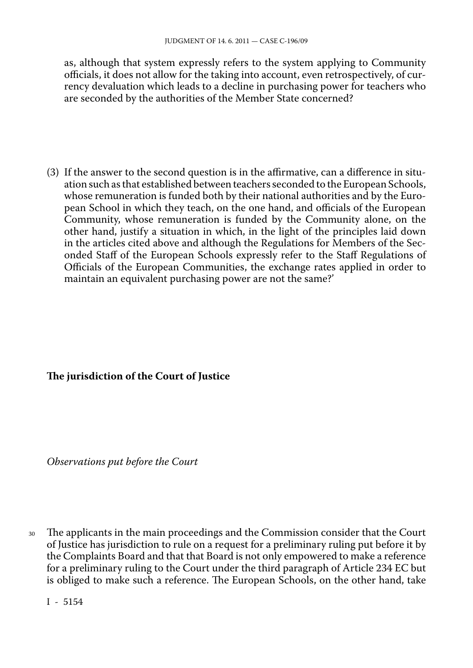as, although that system expressly refers to the system applying to Community officials, it does not allow for the taking into account, even retrospectively, of cur rency devaluation which leads to a decline in purchasing power for teachers who are seconded by the authorities of the Member State concerned?

(3) If the answer to the second question is in the affirmative, can a difference in situation such as that established between teachers seconded to the European Schools, whose remuneration is funded both by their national authorities and by the Euro pean School in which they teach, on the one hand, and officials of the European Community, whose remuneration is funded by the Community alone, on the other hand, justify a situation in which, in the light of the principles laid down in the articles cited above and although the Regulations for Members of the Sec onded Staff of the European Schools expressly refer to the Staff Regulations of Officials of the European Communities, the exchange rates applied in order to maintain an equivalent purchasing power are not the same?'

### **The jurisdiction of the Court of Justice**

*Observations put before the Court*

<sup>30</sup> The applicants in the main proceedings and the Commission consider that the Court of Justice has jurisdiction to rule on a request for a preliminary ruling put before it by the Complaints Board and that that Board is not only empowered to make a reference for a preliminary ruling to the Court under the third paragraph of Article 234 EC but is obliged to make such a reference. The European Schools, on the other hand, take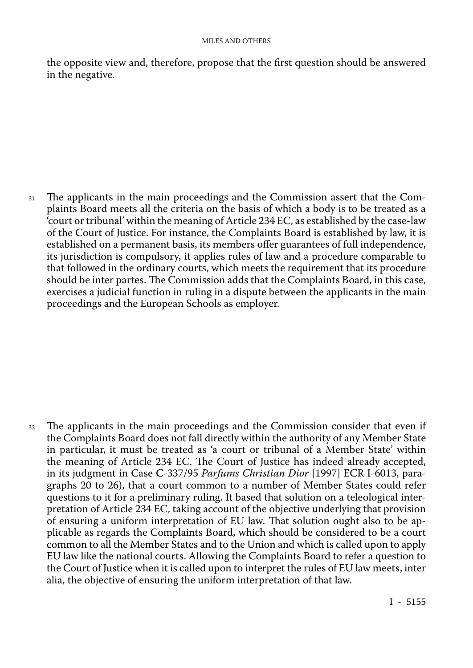the opposite view and, therefore, propose that the first question should be answered in the negative.

<sup>31</sup> The applicants in the main proceedings and the Commission assert that the Com plaints Board meets all the criteria on the basis of which a body is to be treated as a 'court or tribunal' within the meaning of Article 234 EC, as established by the case-law of the Court of Justice. For instance, the Complaints Board is established by law, it is established on a permanent basis, its members offer guarantees of full independence, its jurisdiction is compulsory, it applies rules of law and a procedure comparable to that followed in the ordinary courts, which meets the requirement that its procedure should be inter partes. The Commission adds that the Complaints Board, in this case, exercises a judicial function in ruling in a dispute between the applicants in the main proceedings and the European Schools as employer.

<sup>32</sup> The applicants in the main proceedings and the Commission consider that even if the Complaints Board does not fall directly within the authority of any Member State in particular, it must be treated as 'a court or tribunal of a Member State' within the meaning of Article 234 EC. The Court of Justice has indeed already accepted, in its judgment in Case C-337/95 *Parfums Christian Dior* [1997] ECR I-6013, para graphs 20 to 26), that a court common to a number of Member States could refer questions to it for a preliminary ruling. It based that solution on a teleological inter pretation of Article 234 EC, taking account of the objective underlying that provision of ensuring a uniform interpretation of EU law. That solution ought also to be ap plicable as regards the Complaints Board, which should be considered to be a court common to all the Member States and to the Union and which is called upon to apply EU law like the national courts. Allowing the Complaints Board to refer a question to the Court of Justice when it is called upon to interpret the rules of EU law meets, inter alia, the objective of ensuring the uniform interpretation of that law.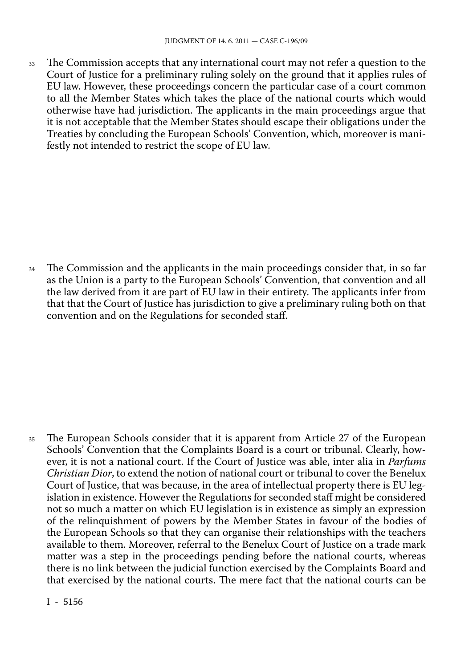<sup>33</sup> The Commission accepts that any international court may not refer a question to the Court of Justice for a preliminary ruling solely on the ground that it applies rules of EU law. However, these proceedings concern the particular case of a court common to all the Member States which takes the place of the national courts which would otherwise have had jurisdiction. The applicants in the main proceedings argue that it is not acceptable that the Member States should escape their obligations under the Treaties by concluding the European Schools' Convention, which, moreover is mani festly not intended to restrict the scope of EU law.

<sup>34</sup> The Commission and the applicants in the main proceedings consider that, in so far as the Union is a party to the European Schools' Convention, that convention and all the law derived from it are part of EU law in their entirety. The applicants infer from that that the Court of Justice has jurisdiction to give a preliminary ruling both on that convention and on the Regulations for seconded staff.

<sup>35</sup> The European Schools consider that it is apparent from Article 27 of the European Schools' Convention that the Complaints Board is a court or tribunal. Clearly, how ever, it is not a national court. If the Court of Justice was able, inter alia in *Parfums Christian Dior*, to extend the notion of national court or tribunal to cover the Benelux Court of Justice, that was because, in the area of intellectual property there is EU leg islation in existence. However the Regulations for seconded staff might be considered not so much a matter on which EU legislation is in existence as simply an expression of the relinquishment of powers by the Member States in favour of the bodies of the European Schools so that they can organise their relationships with the teachers available to them. Moreover, referral to the Benelux Court of Justice on a trade mark matter was a step in the proceedings pending before the national courts, whereas there is no link between the judicial function exercised by the Complaints Board and that exercised by the national courts. The mere fact that the national courts can be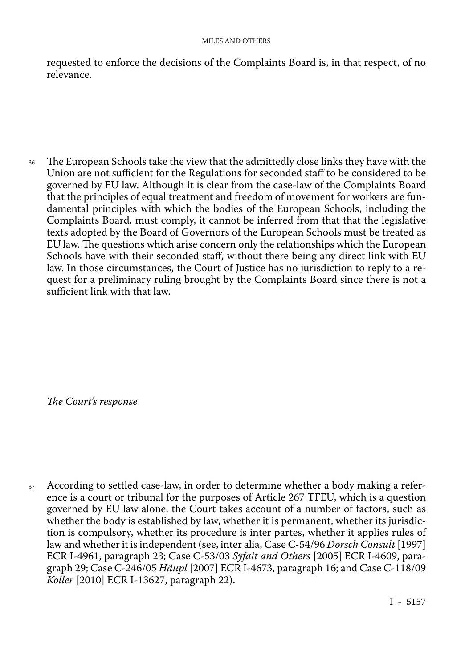requested to enforce the decisions of the Complaints Board is, in that respect, of no relevance.

<sup>36</sup> The European Schools take the view that the admittedly close links they have with the Union are not sufficient for the Regulations for seconded staff to be considered to be governed by EU law. Although it is clear from the case-law of the Complaints Board that the principles of equal treatment and freedom of movement for workers are fun damental principles with which the bodies of the European Schools, including the Complaints Board, must comply, it cannot be inferred from that that the legislative texts adopted by the Board of Governors of the European Schools must be treated as EU law. The questions which arise concern only the relationships which the European Schools have with their seconded staff, without there being any direct link with EU law. In those circumstances, the Court of Justice has no jurisdiction to reply to a re quest for a preliminary ruling brought by the Complaints Board since there is not a sufficient link with that law.

*The Court's response*

<sup>37</sup> According to settled case-law, in order to determine whether a body making a refer ence is a court or tribunal for the purposes of Article 267 TFEU, which is a question governed by EU law alone, the Court takes account of a number of factors, such as whether the body is established by law, whether it is permanent, whether its jurisdic tion is compulsory, whether its procedure is inter partes, whether it applies rules of law and whether it is independent (see, inter alia, Case C-54/96 *Dorsch Consult* [1997] ECR I-4961, paragraph 23; Case C-53/03 *Syfait and Others* [2005] ECR I-4609, para graph 29; Case C-246/05 *Häupl* [2007] ECR I-4673, paragraph 16; and Case C-118/09 *Koller* [2010] ECR I-13627, paragraph 22).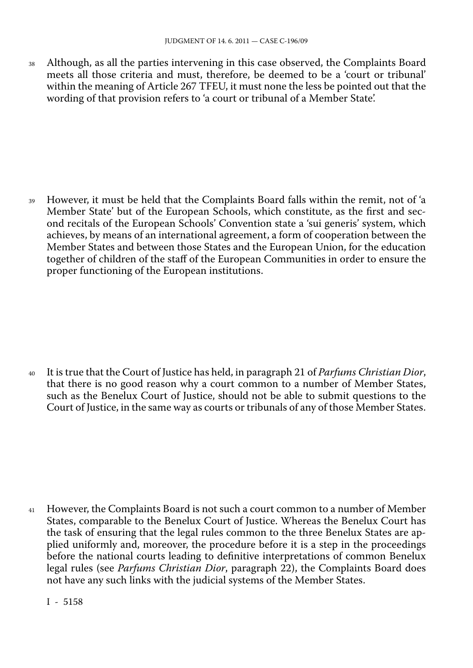<sup>38</sup> Although, as all the parties intervening in this case observed, the Complaints Board meets all those criteria and must, therefore, be deemed to be a 'court or tribunal' within the meaning of Article 267 TFEU, it must none the less be pointed out that the wording of that provision refers to 'a court or tribunal of a Member State'.

<sup>39</sup> However, it must be held that the Complaints Board falls within the remit, not of 'a Member State' but of the European Schools, which constitute, as the first and sec ond recitals of the European Schools' Convention state a 'sui generis' system, which achieves, by means of an international agreement, a form of cooperation between the Member States and between those States and the European Union, for the education together of children of the staff of the European Communities in order to ensure the proper functioning of the European institutions.

<sup>40</sup> It is true that the Court of Justice has held, in paragraph 21 of *Parfums Christian Dior*, that there is no good reason why a court common to a number of Member States, such as the Benelux Court of Justice, should not be able to submit questions to the Court of Justice, in the same way as courts or tribunals of any of those Member States.

<sup>41</sup> However, the Complaints Board is not such a court common to a number of Member States, comparable to the Benelux Court of Justice. Whereas the Benelux Court has the task of ensuring that the legal rules common to the three Benelux States are ap plied uniformly and, moreover, the procedure before it is a step in the proceedings before the national courts leading to definitive interpretations of common Benelux legal rules (see *Parfums Christian Dior*, paragraph 22), the Complaints Board does not have any such links with the judicial systems of the Member States.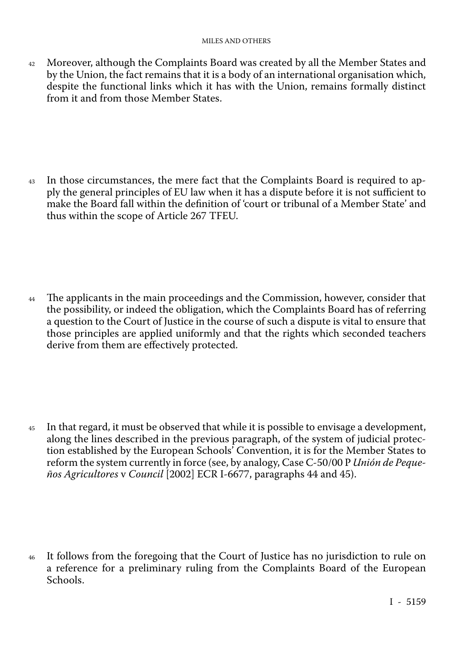#### MILES AND OTHERS

<sup>42</sup> Moreover, although the Complaints Board was created by all the Member States and by the Union, the fact remains that it is a body of an international organisation which, despite the functional links which it has with the Union, remains formally distinct from it and from those Member States.

<sup>43</sup> In those circumstances, the mere fact that the Complaints Board is required to ap ply the general principles of EU law when it has a dispute before it is not sufficient to make the Board fall within the definition of 'court or tribunal of a Member State' and thus within the scope of Article 267 TFEU.

<sup>44</sup> The applicants in the main proceedings and the Commission, however, consider that the possibility, or indeed the obligation, which the Complaints Board has of referring a question to the Court of Justice in the course of such a dispute is vital to ensure that those principles are applied uniformly and that the rights which seconded teachers derive from them are effectively protected.

<sup>45</sup> In that regard, it must be observed that while it is possible to envisage a development, along the lines described in the previous paragraph, of the system of judicial protec tion established by the European Schools' Convention, it is for the Member States to reform the system currently in force (see, by analogy, Case C-50/00 P *Unión de Peque ños Agricultores* v *Council* [2002] ECR I-6677, paragraphs 44 and 45).

<sup>46</sup> It follows from the foregoing that the Court of Justice has no jurisdiction to rule on a reference for a preliminary ruling from the Complaints Board of the European Schools.